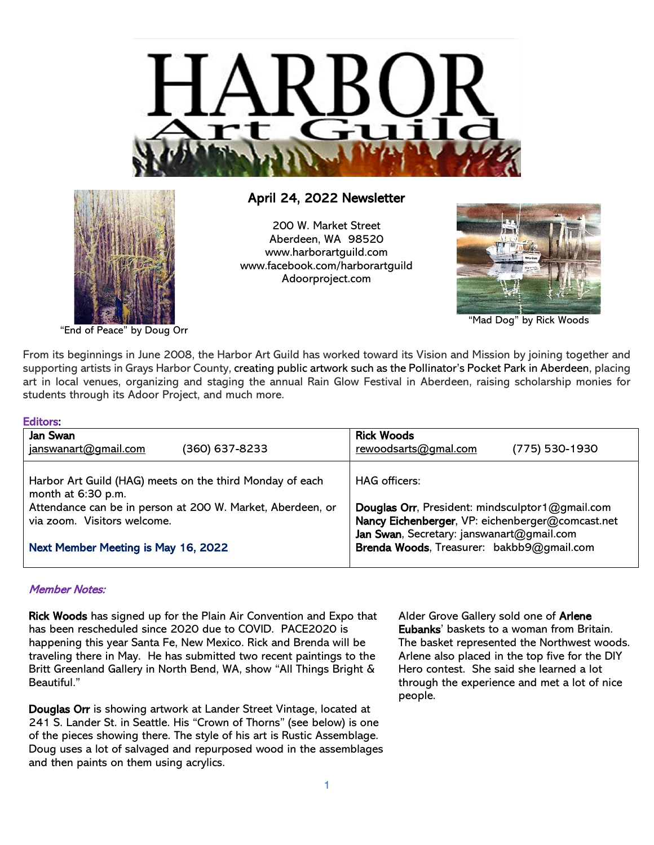



# April 24, 2022 Newsletter

200 W. Market Street Aberdeen, WA 98520 [www.harborartguild.com](http://www.harborartguild.com/) [www.facebook.com/harborartguild](http://www.facebook.com/harborartguild) Adoorproject.com



"Mad Dog" by Rick Woods

"End of Peace" by Doug Orr

From its beginnings in June 2008, the Harbor Art Guild has worked toward its Vision and Mission by joining together and supporting artists in Grays Harbor County, creating public artwork such as the Pollinator's Pocket Park in Aberdeen, placing art in local venues, organizing and staging the annual Rain Glow Festival in Aberdeen, raising scholarship monies for students through its Adoor Project, and much more.

| Editors:                                                                                  |                                                                                                     |
|-------------------------------------------------------------------------------------------|-----------------------------------------------------------------------------------------------------|
| Jan Swan<br>(360) 637-8233<br>janswanart@gmail.com                                        | <b>Rick Woods</b><br>(775) 530-1930<br>rewoodsarts@gmal.com                                         |
| Harbor Art Guild (HAG) meets on the third Monday of each<br>month at 6:30 p.m.            | <b>HAG</b> officers:                                                                                |
| Attendance can be in person at 200 W. Market, Aberdeen, or<br>via zoom. Visitors welcome. | Douglas Orr, President: mindsculptor1@gmail.com<br>Nancy Eichenberger, VP: eichenberger@comcast.net |
| Next Member Meeting is May 16, 2022                                                       | Jan Swan, Secretary: janswanart@gmail.com<br>Brenda Woods, Treasurer: bakbb9@gmail.com              |

# Member Notes:

Rick Woods has signed up for the Plain Air Convention and Expo that has been rescheduled since 2020 due to COVID. PACE2020 is happening this year Santa Fe, New Mexico. Rick and Brenda will be traveling there in May. He has submitted two recent paintings to the Britt Greenland Gallery in North Bend, WA, show "All Things Bright & Beautiful."

Douglas Orr is showing artwork at Lander Street Vintage, located at 241 S. Lander St. in Seattle. His "Crown of Thorns" (see below) is one of the pieces showing there. The style of his art is Rustic Assemblage. Doug uses a lot of salvaged and repurposed wood in the assemblages and then paints on them using acrylics.

Alder Grove Gallery sold one of Arlene Eubanks' baskets to a woman from Britain. The basket represented the Northwest woods. Arlene also placed in the top five for the DIY Hero contest. She said she learned a lot through the experience and met a lot of nice people.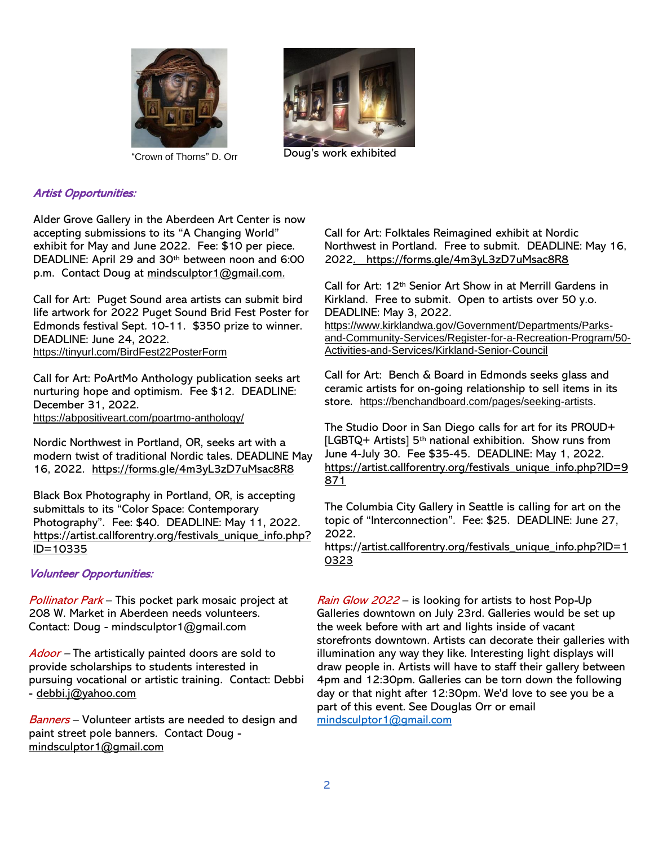



"Crown of Thorns" D. Orr Doug's work exhibited

# Artist Opportunities:

Alder Grove Gallery in the Aberdeen Art Center is now accepting submissions to its "A Changing World" exhibit for May and June 2022. Fee: \$10 per piece. DEADLINE: April 29 and 30th between noon and 6:00 p.m. Contact Doug at [mindsculptor1@gmail.com.](mailto:mindsculptor1@gmail.com)

Call for Art: Puget Sound area artists can submit bird life artwork for 2022 Puget Sound Brid Fest Poster for Edmonds festival Sept. 10-11. \$350 prize to winner. DEADLINE: June 24, 2022. <https://tinyurl.com/BirdFest22PosterForm>

Call for Art: PoArtMo Anthology publication seeks art nurturing hope and optimism. Fee \$12. DEADLINE: December 31, 2022. <https://abpositiveart.com/poartmo-anthology/>

Nordic Northwest in Portland, OR, seeks art with a modern twist of traditional Nordic tales. DEADLINE May 16, 2022. <https://forms.gle/4m3yL3zD7uMsac8R8>

Black Box Photography in Portland, OR, is accepting submittals to its "Color Space: Contemporary Photography". Fee: \$40. DEADLINE: May 11, 2022. https://artist.callforentry.org/festivals\_unique\_info.php? ID=10335

### Volunteer Opportunities:

Pollinator Park – This pocket park mosaic project at 208 W. Market in Aberdeen needs volunteers. Contact: Doug - mindsculptor1@gmail.com

Adoor – The artistically painted doors are sold to provide scholarships to students interested in pursuing vocational or artistic training. Contact: Debbi - debbi.j@yahoo.com

Banners - Volunteer artists are needed to design and paint street pole banners. Contact Doug [mindsculptor1@gmail.com](mailto:mindsculptor1@gmail.com)

Call for Art: Folktales Reimagined exhibit at Nordic Northwest in Portland. Free to submit. DEADLINE: May 16, 2022. <https://forms.gle/4m3yL3zD7uMsac8R8>

Call for Art: 12th Senior Art Show in at Merrill Gardens in Kirkland. Free to submit. Open to artists over 50 y.o. DEADLINE: May 3, 2022.

[https://www.kirklandwa.gov/Government/Departments/Parks](https://www.kirklandwa.gov/Government/Departments/Parks-and-Community-Services/Register-for-a-Recreation-Program/50-Activities-and-Services/Kirkland-Senior-Council)[and-Community-Services/Register-for-a-Recreation-Program/50-](https://www.kirklandwa.gov/Government/Departments/Parks-and-Community-Services/Register-for-a-Recreation-Program/50-Activities-and-Services/Kirkland-Senior-Council) [Activities-and-Services/Kirkland-Senior-Council](https://www.kirklandwa.gov/Government/Departments/Parks-and-Community-Services/Register-for-a-Recreation-Program/50-Activities-and-Services/Kirkland-Senior-Council)

Call for Art: Bench & Board in Edmonds seeks glass and ceramic artists for on-going relationship to sell items in its store. [https://benchandboard.com/pages/seeking-artists.](https://benchandboard.com/pages/seeking-artists)

The Studio Door in San Diego calls for art for its PROUD+ [LGBTQ+ Artists] 5<sup>th</sup> national exhibition. Show runs from June 4-July 30. Fee \$35-45. DEADLINE: May 1, 2022. [https://artist.callforentry.org/festivals\\_unique\\_info.php?ID=9](https://artist.callforentry.org/festivals_unique_info.php?ID=9871) [871](https://artist.callforentry.org/festivals_unique_info.php?ID=9871) 

The Columbia City Gallery in Seattle is calling for art on the topic of "Interconnection". Fee: \$25. DEADLINE: June 27, 2022.

https://artist.callforentry.org/festivals\_unique\_info.php?ID=1 0323

Rain Glow 2022 – is looking for artists to host Pop-Up Galleries downtown on July 23rd. Galleries would be set up the week before with art and lights inside of vacant storefronts downtown. Artists can decorate their galleries with illumination any way they like. Interesting light displays will draw people in. Artists will have to staff their gallery between 4pm and 12:30pm. Galleries can be torn down the following day or that night after 12:30pm. We'd love to see you be a part of this event. See Douglas Orr or email [mindsculptor1@gmail.com](mailto:mindsculptor1@gmail.com)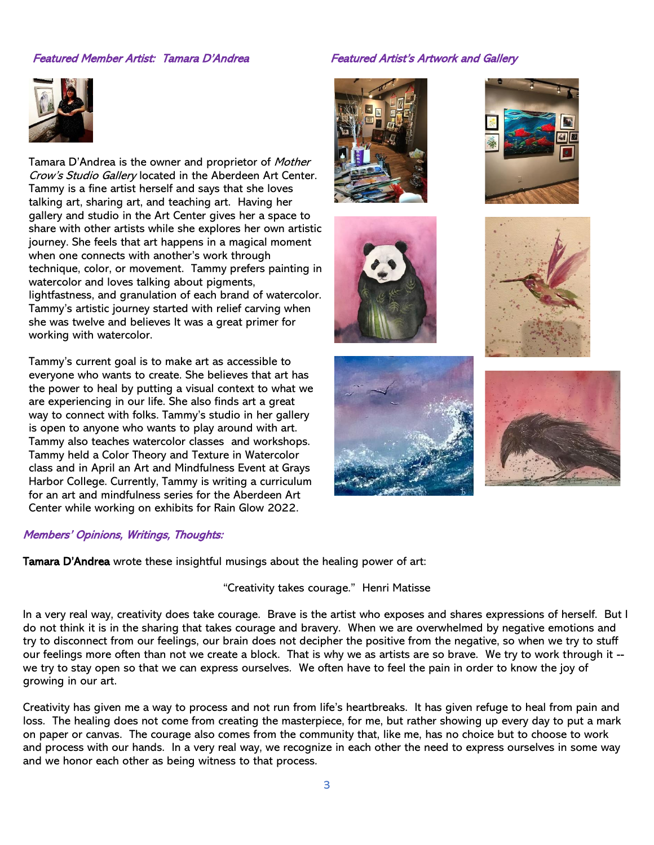## Featured Member Artist: Tamara D'Andrea Featured Artist's Artwork and Gallery



Tamara D'Andrea is the owner and proprietor of Mother Crow's Studio Gallery located in the Aberdeen Art Center. Tammy is a fine artist herself and says that she loves talking art, sharing art, and teaching art. Having her gallery and studio in the Art Center gives her a space to share with other artists while she explores her own artistic journey. She feels that art happens in a magical moment when one connects with another's work through technique, color, or movement. Tammy prefers painting in watercolor and loves talking about pigments, lightfastness, and granulation of each brand of watercolor. Tammy's artistic journey started with relief carving when she was twelve and believes It was a great primer for working with watercolor.

Tammy's current goal is to make art as accessible to everyone who wants to create. She believes that art has the power to heal by putting a visual context to what we are experiencing in our life. She also finds art a great way to connect with folks. Tammy's studio in her gallery is open to anyone who wants to play around with art. Tammy also teaches watercolor classes and workshops. Tammy held a Color Theory and Texture in Watercolor class and in April an Art and Mindfulness Event at Grays Harbor College. Currently, Tammy is writing a curriculum for an art and mindfulness series for the Aberdeen Art Center while working on exhibits for Rain Glow 2022.

### Members' Opinions, Writings, Thoughts:

Tamara D'Andrea wrote these insightful musings about the healing power of art:

# "Creativity takes courage." Henri Matisse

In a very real way, creativity does take courage. Brave is the artist who exposes and shares expressions of herself. But I do not think it is in the sharing that takes courage and bravery. When we are overwhelmed by negative emotions and try to disconnect from our feelings, our brain does not decipher the positive from the negative, so when we try to stuff our feelings more often than not we create a block. That is why we as artists are so brave. We try to work through it - we try to stay open so that we can express ourselves. We often have to feel the pain in order to know the joy of growing in our art.

Creativity has given me a way to process and not run from life's heartbreaks. It has given refuge to heal from pain and loss. The healing does not come from creating the masterpiece, for me, but rather showing up every day to put a mark on paper or canvas. The courage also comes from the community that, like me, has no choice but to choose to work and process with our hands. In a very real way, we recognize in each other the need to express ourselves in some way and we honor each other as being witness to that process.